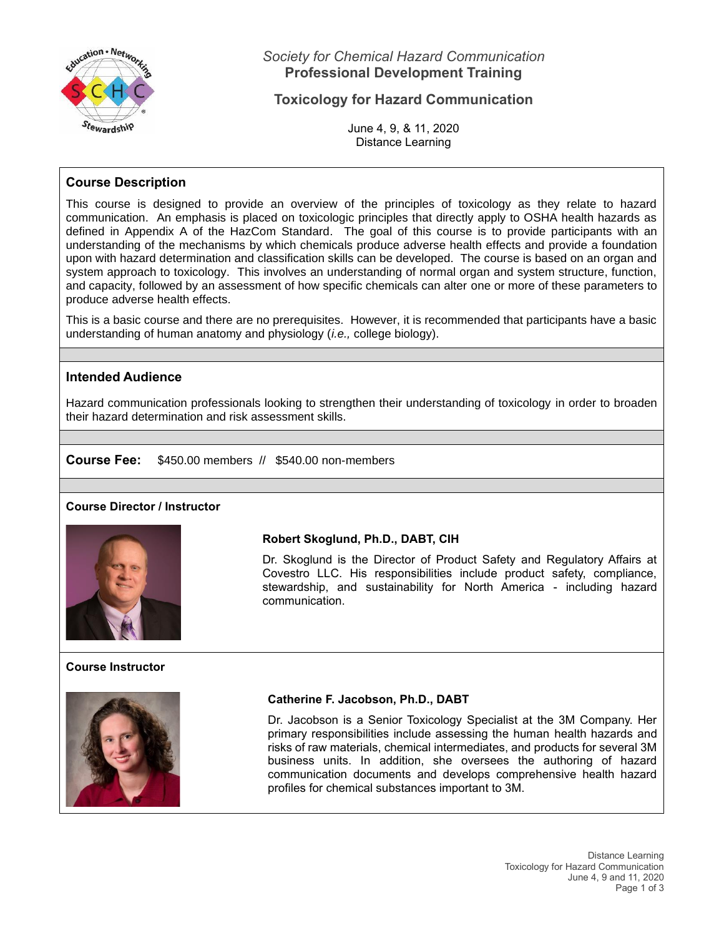

*Society for Chemical Hazard Communication* **Professional Development Training**

## **Toxicology for Hazard Communication**

June 4, 9, & 11, 2020 Distance Learning

## **Course Description**

This course is designed to provide an overview of the principles of toxicology as they relate to hazard communication. An emphasis is placed on toxicologic principles that directly apply to OSHA health hazards as defined in Appendix A of the HazCom Standard. The goal of this course is to provide participants with an understanding of the mechanisms by which chemicals produce adverse health effects and provide a foundation upon with hazard determination and classification skills can be developed. The course is based on an organ and system approach to toxicology. This involves an understanding of normal organ and system structure, function, and capacity, followed by an assessment of how specific chemicals can alter one or more of these parameters to produce adverse health effects.

This is a basic course and there are no prerequisites. However, it is recommended that participants have a basic understanding of human anatomy and physiology (*i.e.,* college biology).

## **Intended Audience**

Hazard communication professionals looking to strengthen their understanding of toxicology in order to broaden their hazard determination and risk assessment skills.

**Course Fee:** \$450.00 members // \$540.00 non-members

#### **Course Director / Instructor**



**Course Instructor**

## **Robert Skoglund, Ph.D., DABT, CIH**

Dr. Skoglund is the Director of Product Safety and Regulatory Affairs at Covestro LLC. His responsibilities include product safety, compliance, stewardship, and sustainability for North America - including hazard communication.

## **Catherine F. Jacobson, Ph.D., DABT**

Dr. Jacobson is a Senior Toxicology Specialist at the 3M Company. Her primary responsibilities include assessing the human health hazards and risks of raw materials, chemical intermediates, and products for several 3M business units. In addition, she oversees the authoring of hazard communication documents and develops comprehensive health hazard profiles for chemical substances important to 3M.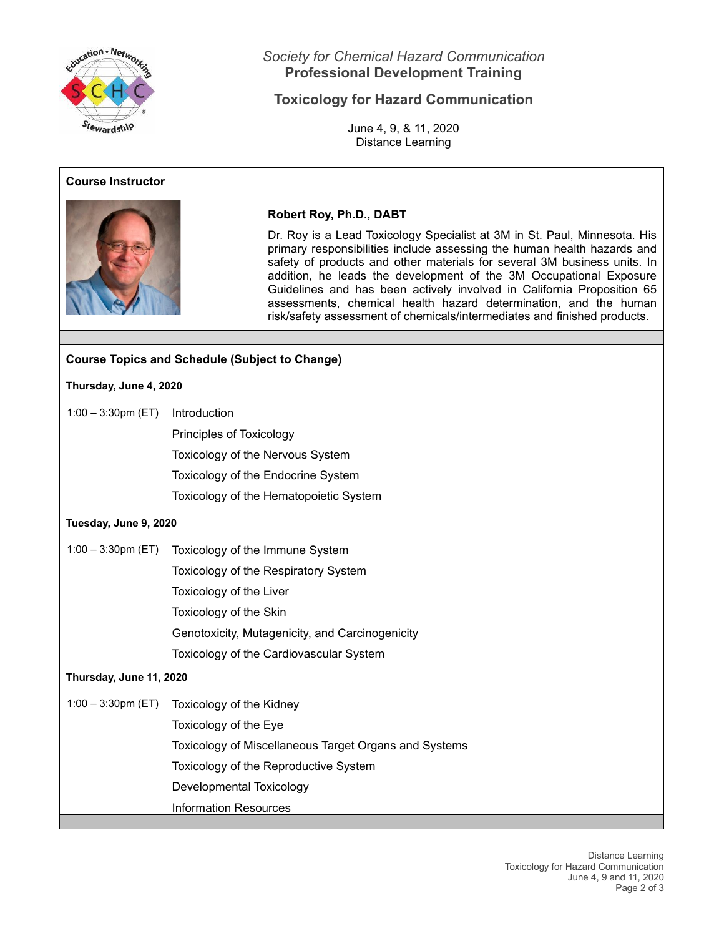

## **Course Instructor**



## *Society for Chemical Hazard Communication* **Professional Development Training**

# **Toxicology for Hazard Communication**

June 4, 9, & 11, 2020 Distance Learning

## **Robert Roy, Ph.D., DABT**

Dr. Roy is a Lead Toxicology Specialist at 3M in St. Paul, Minnesota. His primary responsibilities include assessing the human health hazards and safety of products and other materials for several 3M business units. In addition, he leads the development of the 3M Occupational Exposure Guidelines and has been actively involved in California Proposition 65 assessments, chemical health hazard determination, and the human risk/safety assessment of chemicals/intermediates and finished products.

## **Course Topics and Schedule (Subject to Change)**

### **Thursday, June 4, 2020**

- 1:00 3:30pm (ET) Introduction
	- Principles of Toxicology

Toxicology of the Nervous System

Toxicology of the Endocrine System

Toxicology of the Hematopoietic System

## **Tuesday, June 9, 2020**

1:00 – 3:30pm (ET) Toxicology of the Immune System Toxicology of the Respiratory System Toxicology of the Liver Toxicology of the Skin Genotoxicity, Mutagenicity, and Carcinogenicity Toxicology of the Cardiovascular System

## **Thursday, June 11, 2020**

1:00 – 3:30pm (ET) Toxicology of the Kidney

Toxicology of the Eye Toxicology of Miscellaneous Target Organs and Systems Toxicology of the Reproductive System Developmental Toxicology Information Resources

> Distance Learning Toxicology for Hazard Communication June 4, 9 and 11, 2020 Page 2 of 3